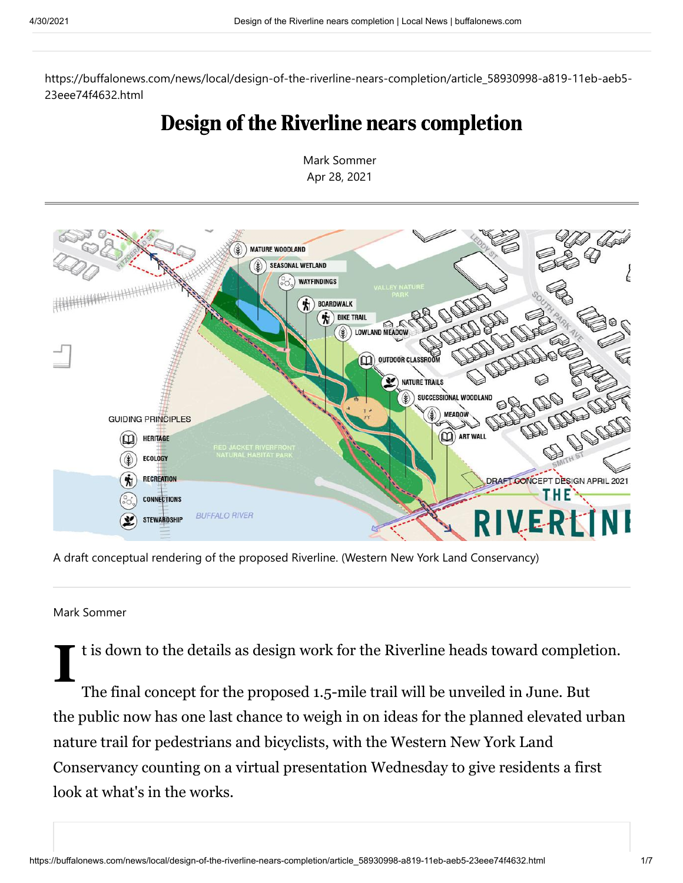https://buffalonews.com/news/local/design-of-the-riverline-nears-completion/article\_58930998-a819-11eb-aeb5- 23eee74f4632.html

## Design of the Riverline nears completion



[Mark Sommer](https://buffalonews.com/users/profile/Mark%20Sommer) Apr 28, 2021

A draft conceptual rendering of the proposed Riverline. (Western New York Land Conservancy)

[Mark Sommer](https://buffalonews.com/users/profile/Mark%20Sommer)

**I** t is down to the details as design work for the Riverline heads toward completion. The final concept for the proposed 1.5-mile trail will be unveiled in June. But the public now has one last chance to weigh in on ideas for the planned elevated urban nature trail for pedestrians and bicyclists, with the Western New York Land Conservancy counting on a virtual presentation Wednesday to give residents a first look at what's in the works.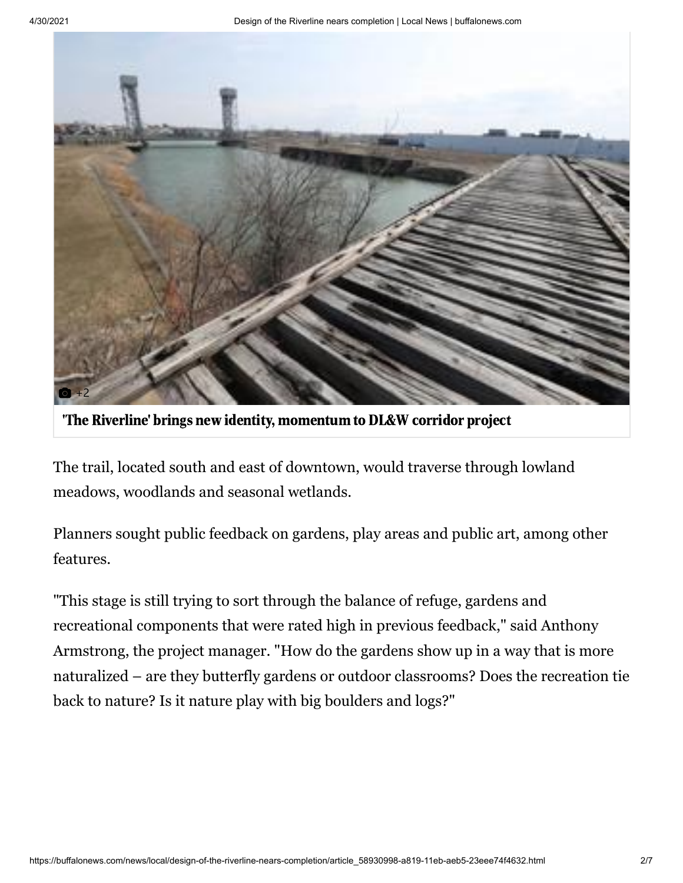

'The Riverline' brings new identity, [momentum](https://buffalonews.com/news/local/the-riverline-brings-new-identity-momentum-to-dl-w-corridor-project/article_5138e7fc-5c06-5333-a2ec-87fc88546026.html#tracking-source=in-article) to DL&W corridor project

The trail, located south and east of downtown, would traverse through lowland meadows, woodlands and seasonal wetlands.

Planners sought public feedback on gardens, play areas and public art, among other features.

"This stage is still trying to sort through the balance of refuge, gardens and recreational components that were rated high in previous feedback," said Anthony Armstrong, the project manager. "How do the gardens show up in a way that is more naturalized – are they butterfly gardens or outdoor classrooms? Does the recreation tie back to nature? Is it nature play with big boulders and logs?"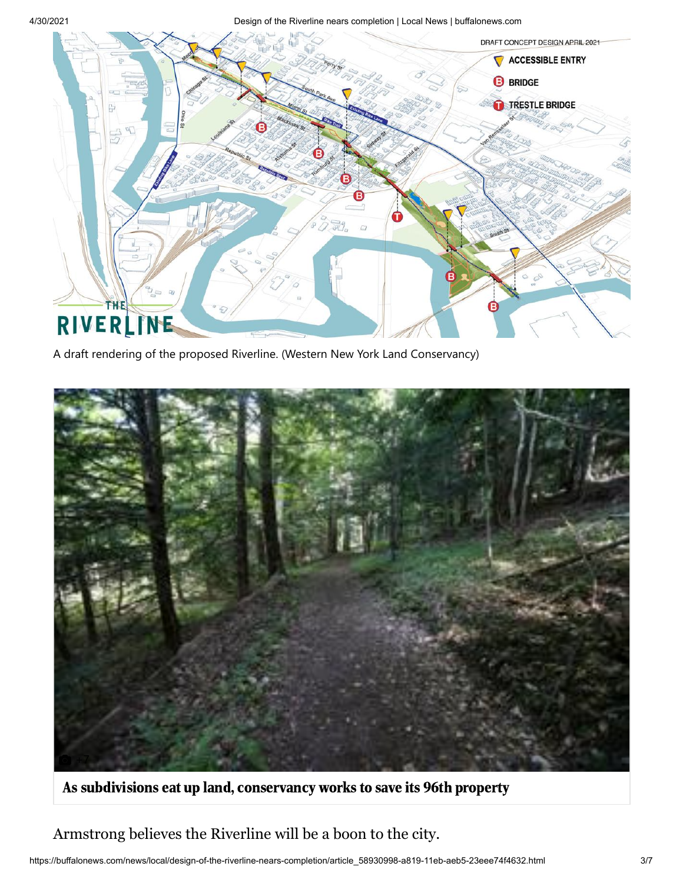4/30/2021 Design of the Riverline nears completion | Local News | buffalonews.com



A draft rendering of the proposed Riverline. (Western New York Land Conservancy)



As [subdivisions](https://buffalonews.com/news/local/as-subdivisions-eat-up-land-conservancy-works-to-save-its-96th-property/article_66b20bb2-eec1-11ea-9e91-c7a6dbe83ac5.html#tracking-source=in-article) eat up land, conservancy works to save its 96th property

Armstrong believes the Riverline will be a boon to the city.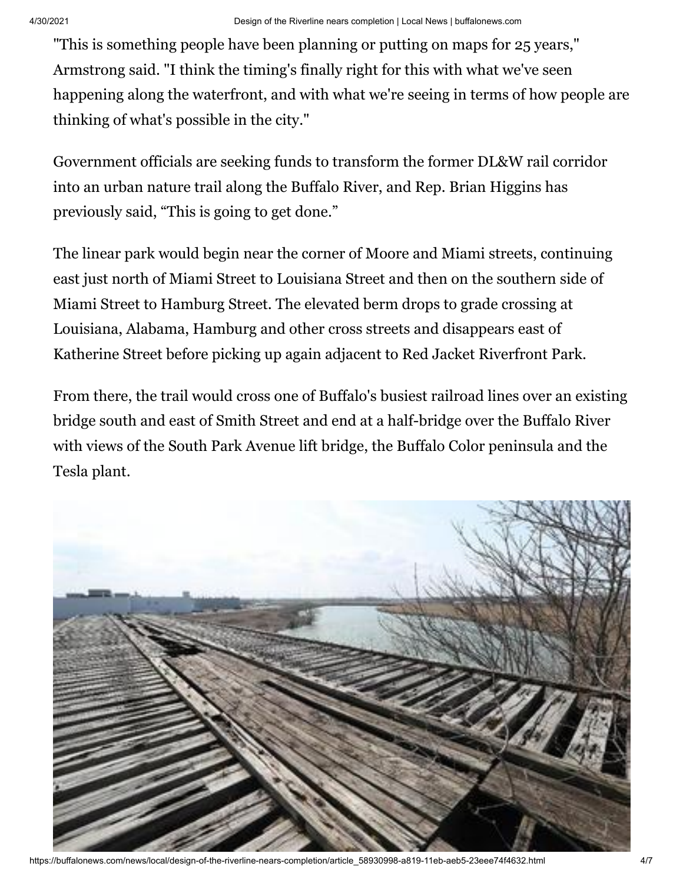"This is something people have been planning or putting on maps for 25 years," Armstrong said. "I think the timing's finally right for this with what we've seen happening along the waterfront, and with what we're seeing in terms of how people are thinking of what's possible in the city."

Government officials are seeking funds to transform the former DL&W rail corridor into an urban nature trail along the Buffalo River, and Rep. Brian Higgins has previously said, "This is going to get done."

The linear park would begin near the corner of Moore and Miami streets, continuing east just north of Miami Street to Louisiana Street and then on the southern side of Miami Street to Hamburg Street. The elevated berm drops to grade crossing at Louisiana, Alabama, Hamburg and other cross streets and disappears east of Katherine Street before picking up again adjacent to Red Jacket Riverfront Park.

From there, the trail would cross one of Buffalo's busiest railroad lines over an existing bridge south and east of Smith Street and end at a half-bridge over the Buffalo River with views of the South Park Avenue lift bridge, the Buffalo Color peninsula and the Tesla plant.



https://buffalonews.com/news/local/design-of-the-riverline-nears-completion/article\_58930998-a819-11eb-aeb5-23eee74f4632.html 4/7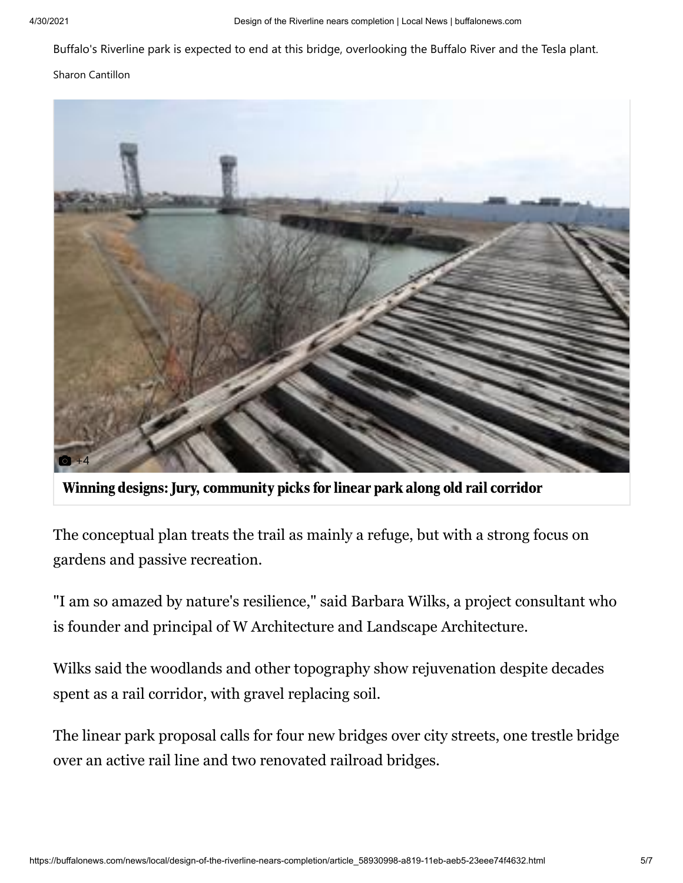Buffalo's Riverline park is expected to end at this bridge, overlooking the Buffalo River and the Tesla plant.

## Sharon [Cantillon](https://buffalonews.com/users/profile/Sharon%20Cantillon)



Winning designs: Jury, [community](https://buffalonews.com/news/local/winning-designs-jury-community-picks-for-linear-park-along-old-rail-corridor/article_49d4c2a9-3551-5204-bfb3-01007f369d38.html#tracking-source=in-article) picks for linear park along old rail corridor

The conceptual plan treats the trail as mainly a refuge, but with a strong focus on gardens and passive recreation.

"I am so amazed by nature's resilience," said Barbara Wilks, a project consultant who is founder and principal of W Architecture and Landscape Architecture.

Wilks said the woodlands and other topography show rejuvenation despite decades spent as a rail corridor, with gravel replacing soil.

The linear park proposal calls for four new bridges over city streets, one trestle bridge over an active rail line and two renovated railroad bridges.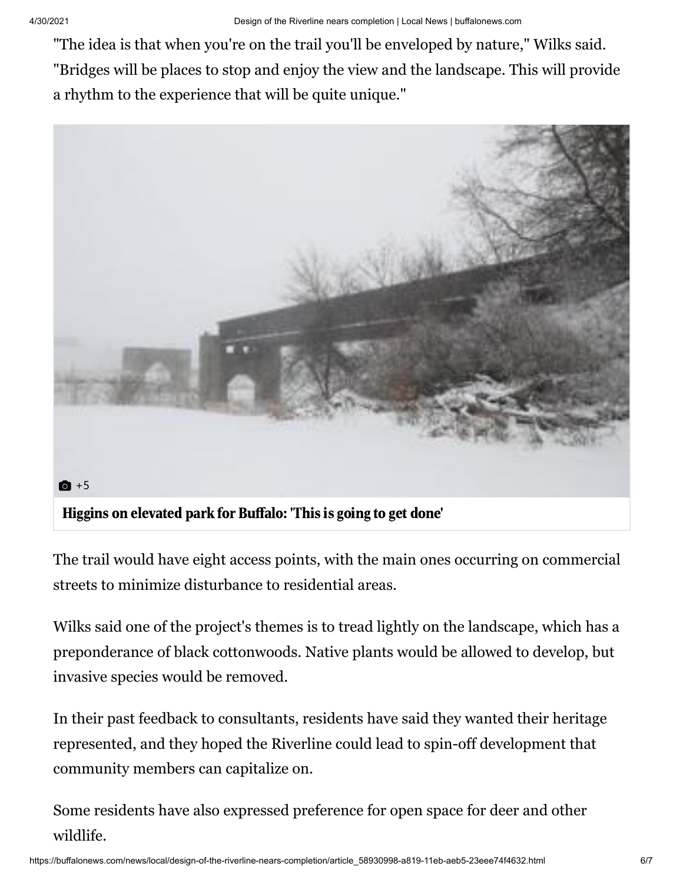"The idea is that when you're on the trail you'll be enveloped by nature," Wilks said. "Bridges will be places to stop and enjoy the view and the landscape. This will provide a rhythm to the experience that will be quite unique."



The trail would have eight access points, with the main ones occurring on commercial streets to minimize disturbance to residential areas.

Wilks said one of the project's themes is to tread lightly on the landscape, which has a preponderance of black cottonwoods. Native plants would be allowed to develop, but invasive species would be removed.

In their past feedback to consultants, residents have said they wanted their heritage represented, and they hoped the Riverline could lead to spin-off development that community members can capitalize on.

Some residents have also expressed preference for open space for deer and other wildlife.